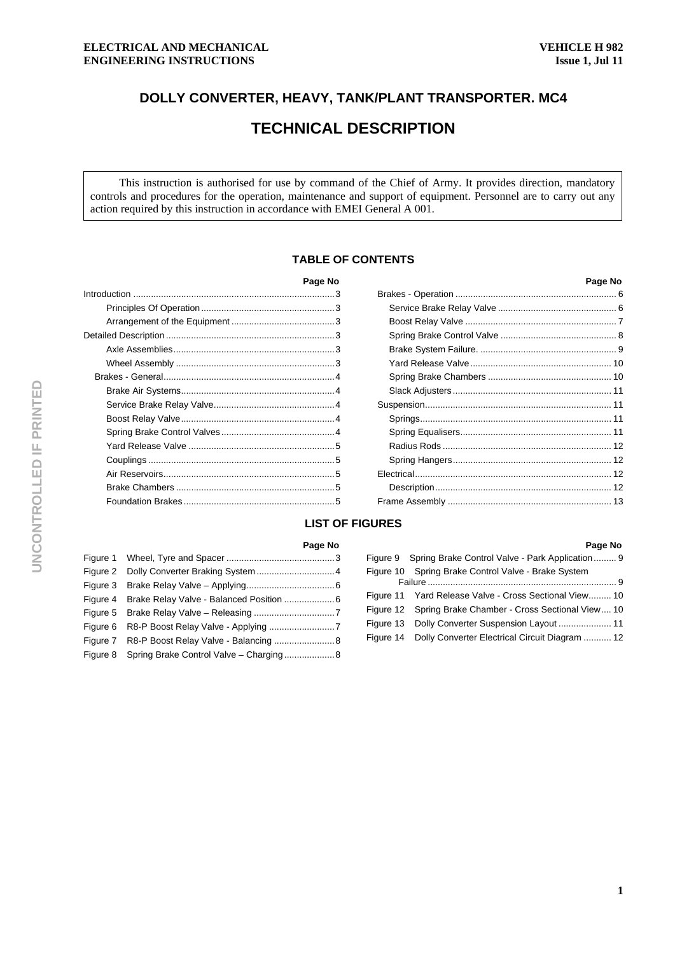# **DOLLY CONVERTER, HEAVY, TANK/PLANT TRANSPORTER. MC4**

# **TECHNICAL DESCRIPTION**

This instruction is authorised for use by command of the Chief of Army. It provides direction, mandatory controls and procedures for the operation, maintenance and support of equipment. Personnel are to carry out any action required by this instruction in accordance with EMEI General A 001.

# **TABLE OF CONTENTS**

| Page No |
|---------|
|         |
|         |
|         |
|         |
|         |
|         |
|         |
|         |
|         |
|         |
|         |
|         |
|         |
|         |
|         |
|         |
|         |

| Page No | Page No |
|---------|---------|
| 3       |         |
| 3       |         |
| 3       |         |
| 3       |         |
| . 3     |         |
| 3       |         |
| . 4     |         |
| . 4     |         |
| . 4     |         |
| . 4     |         |
| . 4     |         |
| . 5     |         |
| . 5     |         |
| . 5     |         |
| . 5     |         |
| . 5     |         |
|         |         |

# **LIST OF FIGURES**

# Page No **Page No. 2012**

| $\sim$ $\sim$ $\sim$ $\sim$ $\sim$ |  |
|------------------------------------|--|
|                                    |  |
|                                    |  |
|                                    |  |
|                                    |  |
|                                    |  |
|                                    |  |
|                                    |  |
|                                    |  |

| Figure 9 Spring Brake Control Valve - Park Application   |  |
|----------------------------------------------------------|--|
| Figure 10 Spring Brake Control Valve - Brake System      |  |
|                                                          |  |
| Figure 11 Yard Release Valve - Cross Sectional View 10   |  |
| Figure 12 Spring Brake Chamber - Cross Sectional View 10 |  |
|                                                          |  |
| Figure 14 Dolly Converter Electrical Circuit Diagram  12 |  |
|                                                          |  |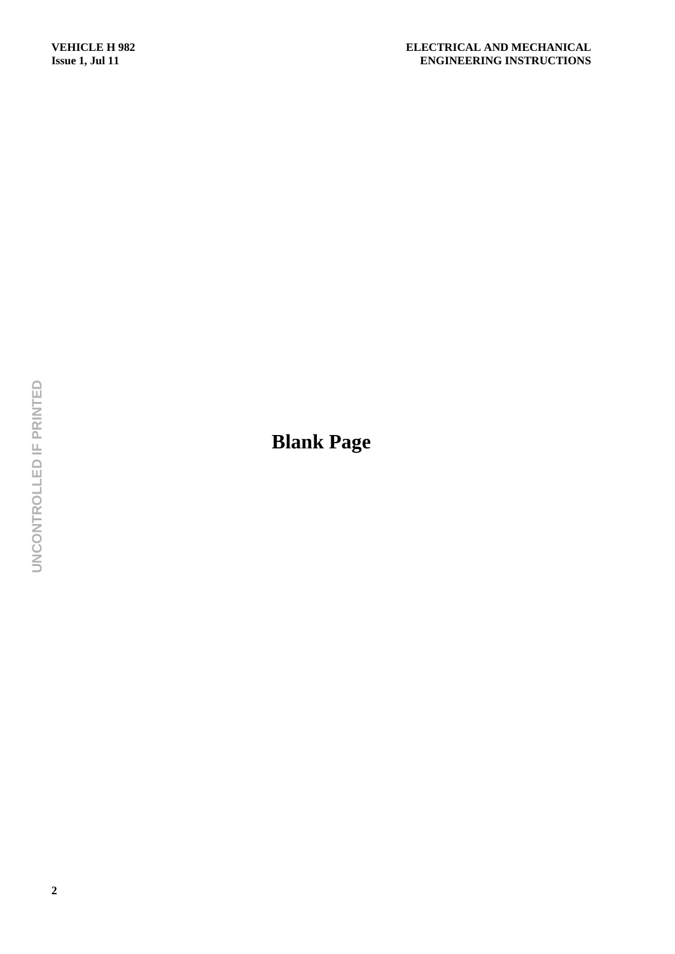# **Blank Page**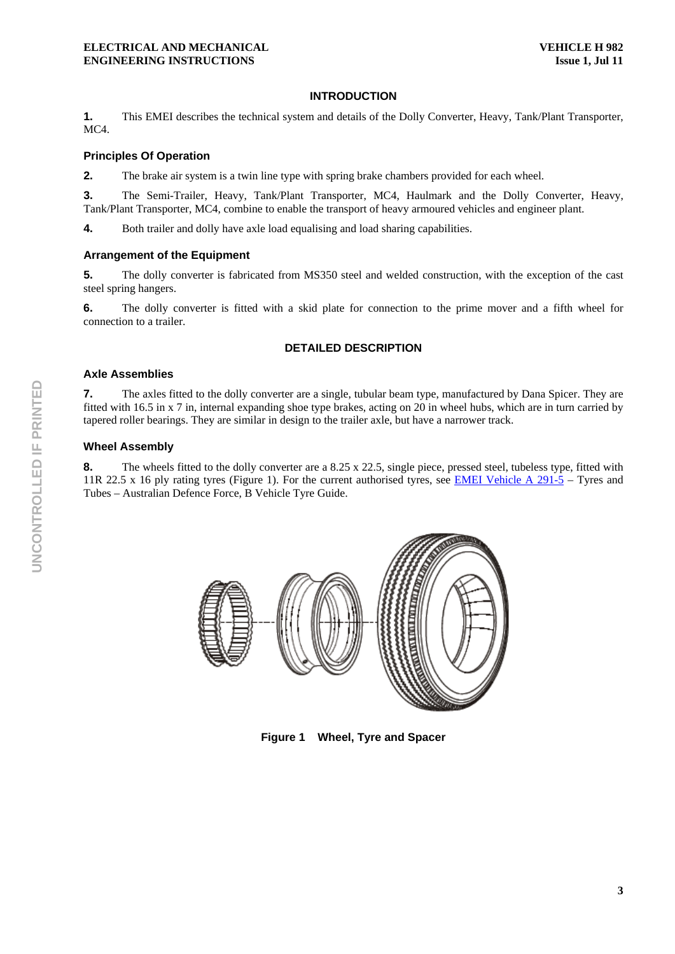# **INTRODUCTION**

**1.** This EMEI describes the technical system and details of the Dolly Converter, Heavy, Tank/Plant Transporter, MC4.

# **Principles Of Operation**

**2.** The brake air system is a twin line type with spring brake chambers provided for each wheel.

**3.** The Semi-Trailer, Heavy, Tank/Plant Transporter, MC4, Haulmark and the Dolly Converter, Heavy, Tank/Plant Transporter, MC4, combine to enable the transport of heavy armoured vehicles and engineer plant.

**4.** Both trailer and dolly have axle load equalising and load sharing capabilities.

#### **Arrangement of the Equipment**

**5.** The dolly converter is fabricated from MS350 steel and welded construction, with the exception of the cast steel spring hangers.

**6.** The dolly converter is fitted with a skid plate for connection to the prime mover and a fifth wheel for connection to a trailer.

#### **DETAILED DESCRIPTION**

#### **Axle Assemblies**

**7.** The axles fitted to the dolly converter are a single, tubular beam type, manufactured by Dana Spicer. They are fitted with 16.5 in x 7 in, internal expanding shoe type brakes, acting on 20 in wheel hubs, which are in turn carried by tapered roller bearings. They are similar in design to the trailer axle, but have a narrower track.

#### **Wheel Assembly**

**8.** The wheels fitted to the dolly converter are a 8.25 x 22.5, single piece, pressed steel, tubeless type, fitted with 11R 22.5 x 16 ply rating tyres (Figure 1). For the current authorised tyres, see EMEI Vehicle A 291-5 – Tyres and Tubes – Australian Defence Force, B Vehicle Tyre Guide.



**Figure 1 Wheel, Tyre and Spacer**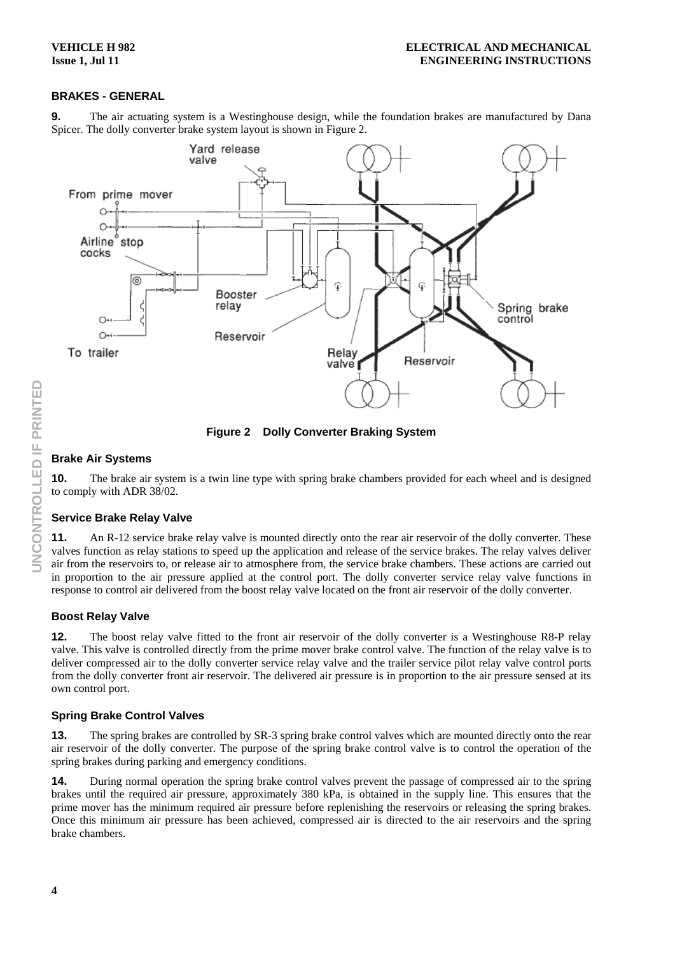# **BRAKES - GENERAL**

**9.** The air actuating system is a Westinghouse design, while the foundation brakes are manufactured by Dana Spicer. The dolly converter brake system layout is shown in Figure 2.



**Figure 2 Dolly Converter Braking System** 

# **Brake Air Systems**

**10.** The brake air system is a twin line type with spring brake chambers provided for each wheel and is designed to comply with ADR 38/02.

#### **Service Brake Relay Valve**

**11.** An R-12 service brake relay valve is mounted directly onto the rear air reservoir of the dolly converter. These valves function as relay stations to speed up the application and release of the service brakes. The relay valves deliver air from the reservoirs to, or release air to atmosphere from, the service brake chambers. These actions are carried out in proportion to the air pressure applied at the control port. The dolly converter service relay valve functions in response to control air delivered from the boost relay valve located on the front air reservoir of the dolly converter.

#### **Boost Relay Valve**

**12.** The boost relay valve fitted to the front air reservoir of the dolly converter is a Westinghouse R8-P relay valve. This valve is controlled directly from the prime mover brake control valve. The function of the relay valve is to deliver compressed air to the dolly converter service relay valve and the trailer service pilot relay valve control ports from the dolly converter front air reservoir. The delivered air pressure is in proportion to the air pressure sensed at its own control port.

#### **Spring Brake Control Valves**

**13.** The spring brakes are controlled by SR-3 spring brake control valves which are mounted directly onto the rear air reservoir of the dolly converter. The purpose of the spring brake control valve is to control the operation of the spring brakes during parking and emergency conditions.

**14.** During normal operation the spring brake control valves prevent the passage of compressed air to the spring brakes until the required air pressure, approximately 380 kPa, is obtained in the supply line. This ensures that the prime mover has the minimum required air pressure before replenishing the reservoirs or releasing the spring brakes. Once this minimum air pressure has been achieved, compressed air is directed to the air reservoirs and the spring brake chambers.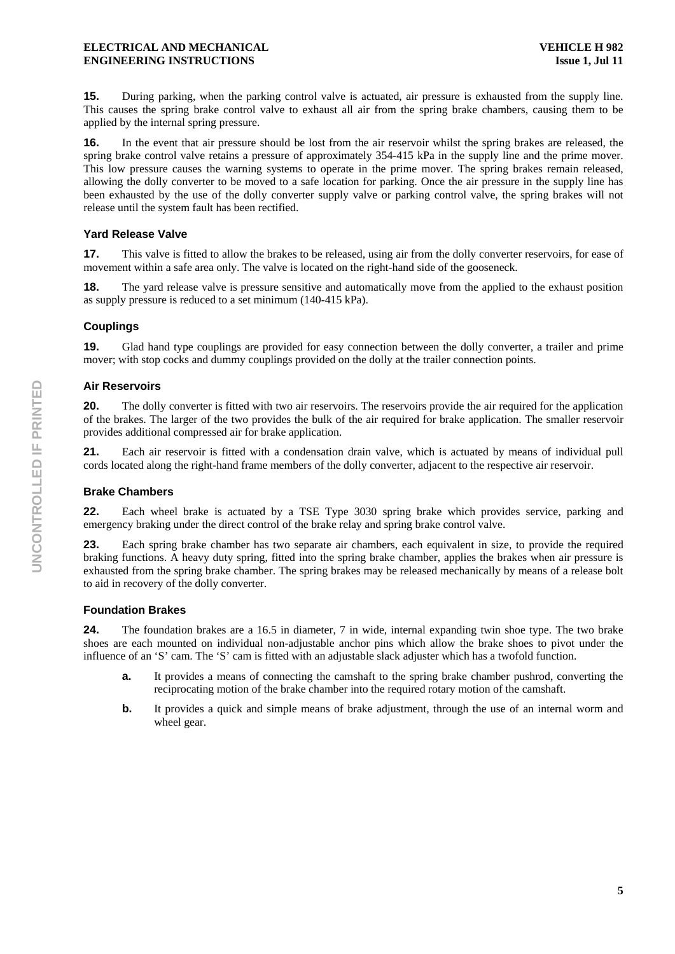**15.** During parking, when the parking control valve is actuated, air pressure is exhausted from the supply line. This causes the spring brake control valve to exhaust all air from the spring brake chambers, causing them to be applied by the internal spring pressure.

**16.** In the event that air pressure should be lost from the air reservoir whilst the spring brakes are released, the spring brake control valve retains a pressure of approximately 354-415 kPa in the supply line and the prime mover. This low pressure causes the warning systems to operate in the prime mover. The spring brakes remain released, allowing the dolly converter to be moved to a safe location for parking. Once the air pressure in the supply line has been exhausted by the use of the dolly converter supply valve or parking control valve, the spring brakes will not release until the system fault has been rectified.

# **Yard Release Valve**

**17.** This valve is fitted to allow the brakes to be released, using air from the dolly converter reservoirs, for ease of movement within a safe area only. The valve is located on the right-hand side of the gooseneck.

**18.** The yard release valve is pressure sensitive and automatically move from the applied to the exhaust position as supply pressure is reduced to a set minimum (140-415 kPa).

# **Couplings**

**19.** Glad hand type couplings are provided for easy connection between the dolly converter, a trailer and prime mover; with stop cocks and dummy couplings provided on the dolly at the trailer connection points.

# **Air Reservoirs**

**20.** The dolly converter is fitted with two air reservoirs. The reservoirs provide the air required for the application of the brakes. The larger of the two provides the bulk of the air required for brake application. The smaller reservoir provides additional compressed air for brake application.

**21.** Each air reservoir is fitted with a condensation drain valve, which is actuated by means of individual pull cords located along the right-hand frame members of the dolly converter, adjacent to the respective air reservoir.

#### **Brake Chambers**

**22.** Each wheel brake is actuated by a TSE Type 3030 spring brake which provides service, parking and emergency braking under the direct control of the brake relay and spring brake control valve.

**23.** Each spring brake chamber has two separate air chambers, each equivalent in size, to provide the required braking functions. A heavy duty spring, fitted into the spring brake chamber, applies the brakes when air pressure is exhausted from the spring brake chamber. The spring brakes may be released mechanically by means of a release bolt to aid in recovery of the dolly converter.

#### **Foundation Brakes**

**24.** The foundation brakes are a 16.5 in diameter, 7 in wide, internal expanding twin shoe type. The two brake shoes are each mounted on individual non-adjustable anchor pins which allow the brake shoes to pivot under the influence of an 'S' cam. The 'S' cam is fitted with an adjustable slack adjuster which has a twofold function.

- **a.** It provides a means of connecting the camshaft to the spring brake chamber pushrod, converting the reciprocating motion of the brake chamber into the required rotary motion of the camshaft.
- **b.** It provides a quick and simple means of brake adjustment, through the use of an internal worm and wheel gear.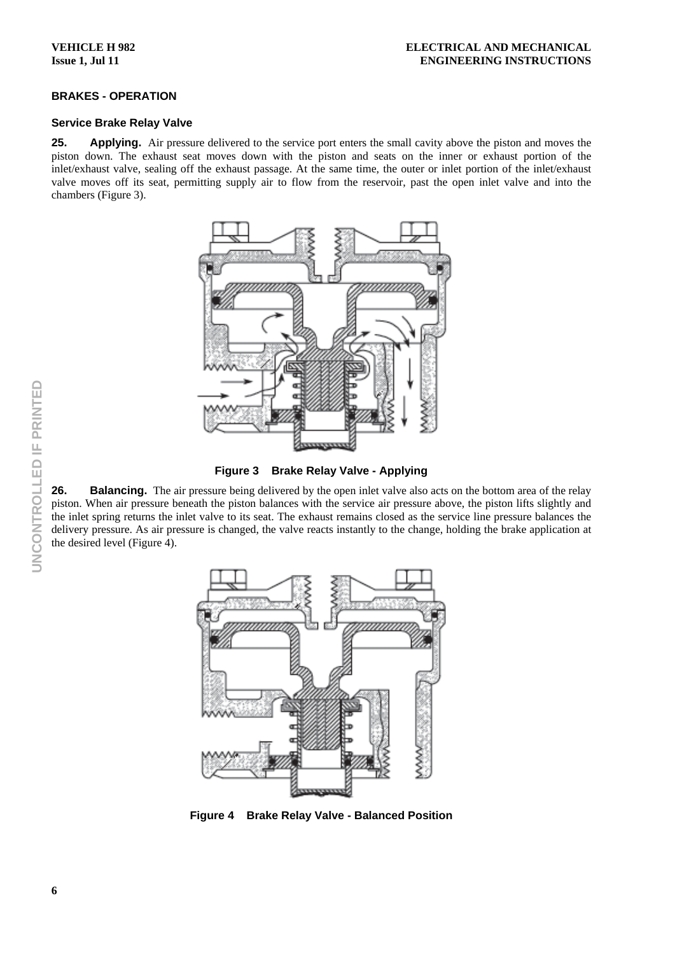# **BRAKES - OPERATION**

#### **Service Brake Relay Valve**

**25.** Applying. Air pressure delivered to the service port enters the small cavity above the piston and moves the piston down. The exhaust seat moves down with the piston and seats on the inner or exhaust portion of the inlet/exhaust valve, sealing off the exhaust passage. At the same time, the outer or inlet portion of the inlet/exhaust valve moves off its seat, permitting supply air to flow from the reservoir, past the open inlet valve and into the chambers (Figure 3).



**Figure 3 Brake Relay Valve - Applying** 

**26. Balancing.** The air pressure being delivered by the open inlet valve also acts on the bottom area of the relay piston. When air pressure beneath the piston balances with the service air pressure above, the piston lifts slightly and the inlet spring returns the inlet valve to its seat. The exhaust remains closed as the service line pressure balances the delivery pressure. As air pressure is changed, the valve reacts instantly to the change, holding the brake application at the desired level (Figure 4).



**Figure 4 Brake Relay Valve - Balanced Position**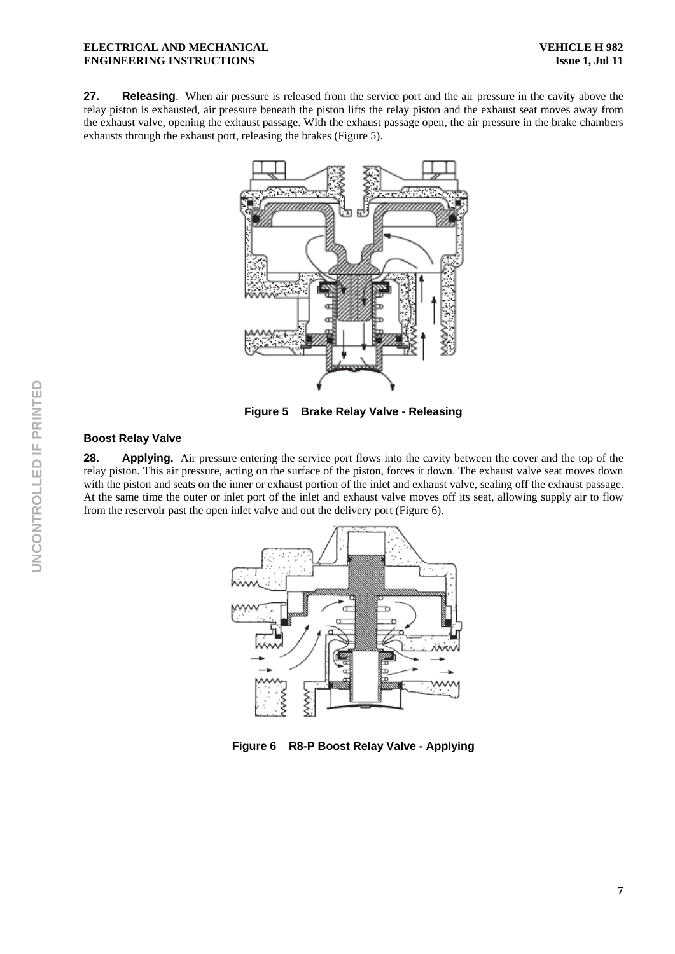**27. Releasing**. When air pressure is released from the service port and the air pressure in the cavity above the relay piston is exhausted, air pressure beneath the piston lifts the relay piston and the exhaust seat moves away from the exhaust valve, opening the exhaust passage. With the exhaust passage open, the air pressure in the brake chambers exhausts through the exhaust port, releasing the brakes (Figure 5).



**Figure 5 Brake Relay Valve - Releasing** 

#### **Boost Relay Valve**

**28.** Applying. Air pressure entering the service port flows into the cavity between the cover and the top of the relay piston. This air pressure, acting on the surface of the piston, forces it down. The exhaust valve seat moves down with the piston and seats on the inner or exhaust portion of the inlet and exhaust valve, sealing off the exhaust passage. At the same time the outer or inlet port of the inlet and exhaust valve moves off its seat, allowing supply air to flow from the reservoir past the open inlet valve and out the delivery port (Figure 6).



**Figure 6 R8-P Boost Relay Valve - Applying**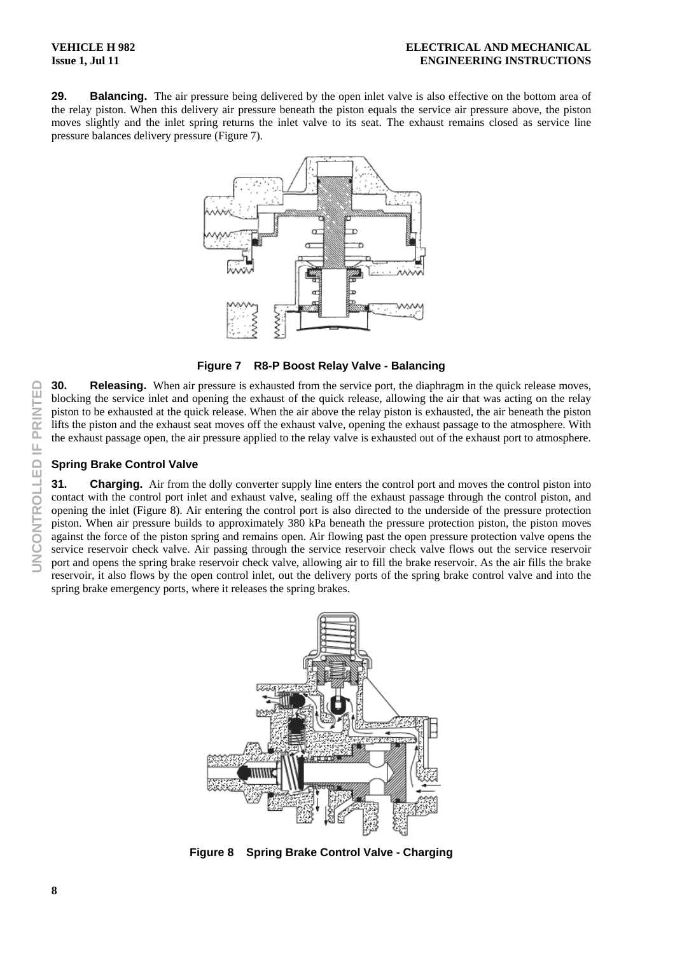# **VEHICLE H 982 Issue 1, Jul 11**

**29. Balancing.** The air pressure being delivered by the open inlet valve is also effective on the bottom area of the relay piston. When this delivery air pressure beneath the piston equals the service air pressure above, the piston moves slightly and the inlet spring returns the inlet valve to its seat. The exhaust remains closed as service line pressure balances delivery pressure (Figure 7).



**Figure 7 R8-P Boost Relay Valve - Balancing** 

**30. Releasing.** When air pressure is exhausted from the service port, the diaphragm in the quick release moves, blocking the service inlet and opening the exhaust of the quick release, allowing the air that was acting on the relay piston to be exhausted at the quick release. When the air above the relay piston is exhausted, the air beneath the piston lifts the piston and the exhaust seat moves off the exhaust valve, opening the exhaust passage to the atmosphere. With the exhaust passage open, the air pressure applied to the relay valve is exhausted out of the exhaust port to atmosphere.

# **Spring Brake Control Valve**

**31.** Charging. Air from the dolly converter supply line enters the control port and moves the control piston into contact with the control port inlet and exhaust valve, sealing off the exhaust passage through the control piston, and opening the inlet (Figure 8). Air entering the control port is also directed to the underside of the pressure protection piston. When air pressure builds to approximately 380 kPa beneath the pressure protection piston, the piston moves against the force of the piston spring and remains open. Air flowing past the open pressure protection valve opens the service reservoir check valve. Air passing through the service reservoir check valve flows out the service reservoir port and opens the spring brake reservoir check valve, allowing air to fill the brake reservoir. As the air fills the brake reservoir, it also flows by the open control inlet, out the delivery ports of the spring brake control valve and into the spring brake emergency ports, where it releases the spring brakes.



**Figure 8 Spring Brake Control Valve - Charging**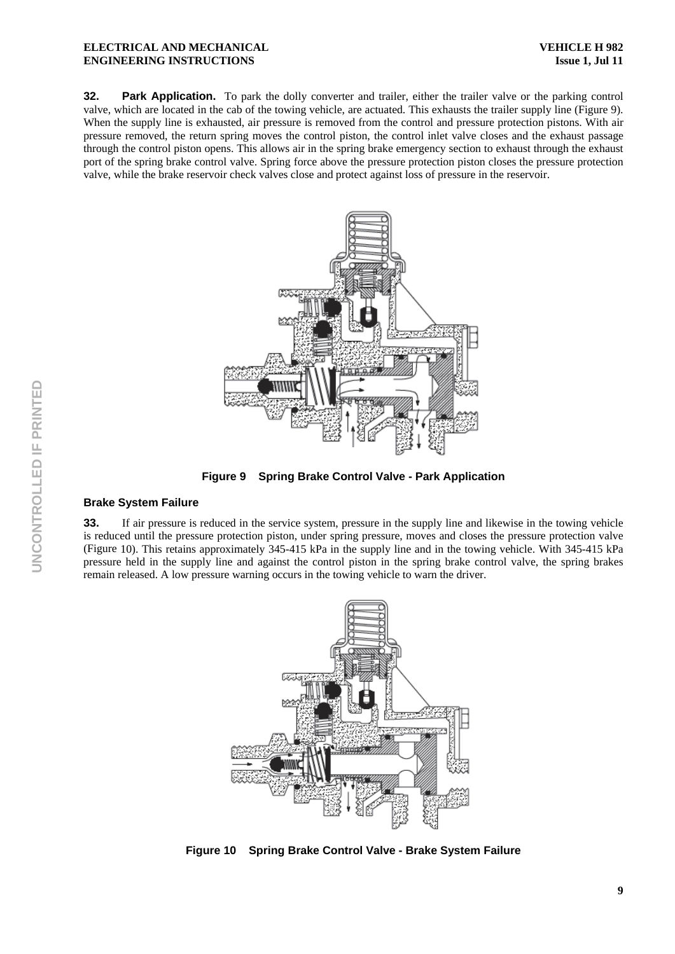**32. Park Application.** To park the dolly converter and trailer, either the trailer valve or the parking control valve, which are located in the cab of the towing vehicle, are actuated. This exhausts the trailer supply line (Figure 9). When the supply line is exhausted, air pressure is removed from the control and pressure protection pistons. With air pressure removed, the return spring moves the control piston, the control inlet valve closes and the exhaust passage through the control piston opens. This allows air in the spring brake emergency section to exhaust through the exhaust port of the spring brake control valve. Spring force above the pressure protection piston closes the pressure protection valve, while the brake reservoir check valves close and protect against loss of pressure in the reservoir.



**Figure 9 Spring Brake Control Valve - Park Application** 

# **Brake System Failure**

**33.** If air pressure is reduced in the service system, pressure in the supply line and likewise in the towing vehicle is reduced until the pressure protection piston, under spring pressure, moves and closes the pressure protection valve (Figure 10). This retains approximately 345-415 kPa in the supply line and in the towing vehicle. With 345-415 kPa pressure held in the supply line and against the control piston in the spring brake control valve, the spring brakes remain released. A low pressure warning occurs in the towing vehicle to warn the driver.



**Figure 10 Spring Brake Control Valve - Brake System Failure**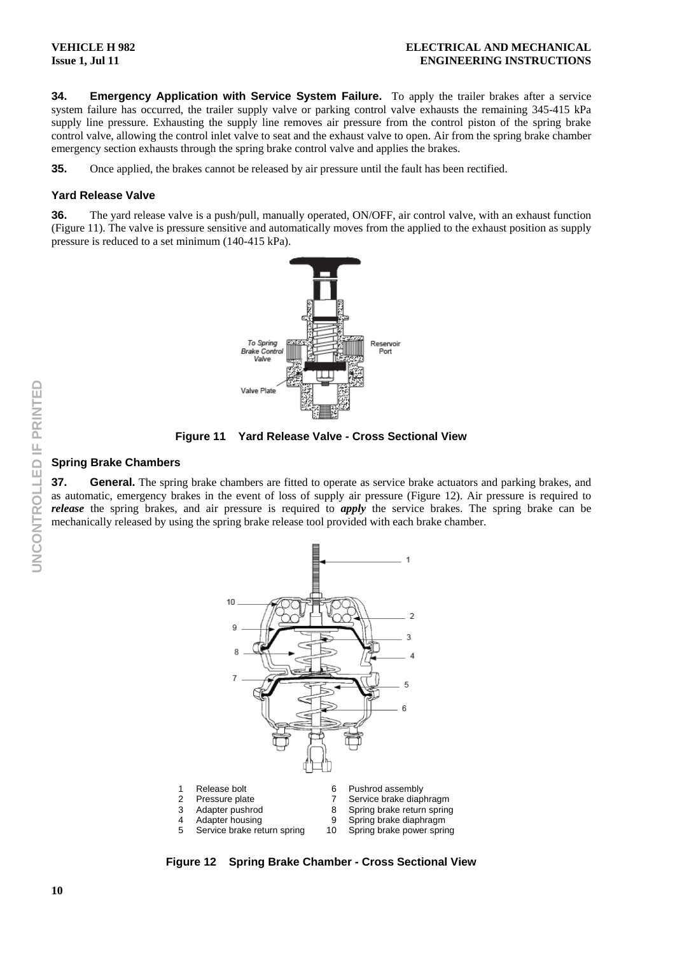# **VEHICLE H 982 Issue 1, Jul 11**

**34. Emergency Application with Service System Failure.** To apply the trailer brakes after a service system failure has occurred, the trailer supply valve or parking control valve exhausts the remaining 345-415 kPa supply line pressure. Exhausting the supply line removes air pressure from the control piston of the spring brake control valve, allowing the control inlet valve to seat and the exhaust valve to open. Air from the spring brake chamber emergency section exhausts through the spring brake control valve and applies the brakes.

**35.** Once applied, the brakes cannot be released by air pressure until the fault has been rectified.

# **Yard Release Valve**

**36.** The yard release valve is a push/pull, manually operated, ON/OFF, air control valve, with an exhaust function (Figure 11). The valve is pressure sensitive and automatically moves from the applied to the exhaust position as supply pressure is reduced to a set minimum (140-415 kPa).





# **Spring Brake Chambers**

**37.** General. The spring brake chambers are fitted to operate as service brake actuators and parking brakes, and as automatic, emergency brakes in the event of loss of supply air pressure (Figure 12). Air pressure is required to *release* the spring brakes, and air pressure is required to *apply* the service brakes. The spring brake can be mechanically released by using the spring brake release tool provided with each brake chamber.



**Figure 12 Spring Brake Chamber - Cross Sectional View**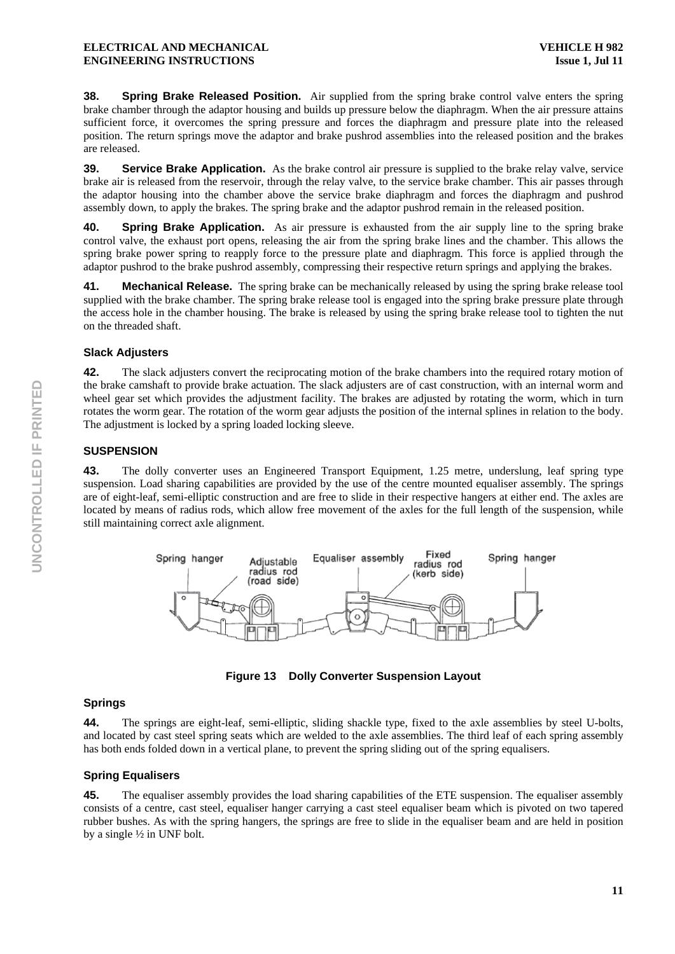**38.** Spring Brake Released Position. Air supplied from the spring brake control valve enters the spring brake chamber through the adaptor housing and builds up pressure below the diaphragm. When the air pressure attains sufficient force, it overcomes the spring pressure and forces the diaphragm and pressure plate into the released position. The return springs move the adaptor and brake pushrod assemblies into the released position and the brakes are released.

**39. Service Brake Application.** As the brake control air pressure is supplied to the brake relay valve, service brake air is released from the reservoir, through the relay valve, to the service brake chamber. This air passes through the adaptor housing into the chamber above the service brake diaphragm and forces the diaphragm and pushrod assembly down, to apply the brakes. The spring brake and the adaptor pushrod remain in the released position.

**40. Spring Brake Application.** As air pressure is exhausted from the air supply line to the spring brake control valve, the exhaust port opens, releasing the air from the spring brake lines and the chamber. This allows the spring brake power spring to reapply force to the pressure plate and diaphragm. This force is applied through the adaptor pushrod to the brake pushrod assembly, compressing their respective return springs and applying the brakes.

**41. Mechanical Release.** The spring brake can be mechanically released by using the spring brake release tool supplied with the brake chamber. The spring brake release tool is engaged into the spring brake pressure plate through the access hole in the chamber housing. The brake is released by using the spring brake release tool to tighten the nut on the threaded shaft.

# **Slack Adjusters**

**42.** The slack adjusters convert the reciprocating motion of the brake chambers into the required rotary motion of the brake camshaft to provide brake actuation. The slack adjusters are of cast construction, with an internal worm and wheel gear set which provides the adjustment facility. The brakes are adjusted by rotating the worm, which in turn rotates the worm gear. The rotation of the worm gear adjusts the position of the internal splines in relation to the body. The adjustment is locked by a spring loaded locking sleeve.

# **SUSPENSION**

**43.** The dolly converter uses an Engineered Transport Equipment, 1.25 metre, underslung, leaf spring type suspension. Load sharing capabilities are provided by the use of the centre mounted equaliser assembly. The springs are of eight-leaf, semi-elliptic construction and are free to slide in their respective hangers at either end. The axles are located by means of radius rods, which allow free movement of the axles for the full length of the suspension, while still maintaining correct axle alignment.



**Figure 13 Dolly Converter Suspension Layout** 

#### **Springs**

**44.** The springs are eight-leaf, semi-elliptic, sliding shackle type, fixed to the axle assemblies by steel U-bolts, and located by cast steel spring seats which are welded to the axle assemblies. The third leaf of each spring assembly has both ends folded down in a vertical plane, to prevent the spring sliding out of the spring equalisers.

#### **Spring Equalisers**

**45.** The equaliser assembly provides the load sharing capabilities of the ETE suspension. The equaliser assembly consists of a centre, cast steel, equaliser hanger carrying a cast steel equaliser beam which is pivoted on two tapered rubber bushes. As with the spring hangers, the springs are free to slide in the equaliser beam and are held in position by a single  $\frac{1}{2}$  in UNF bolt.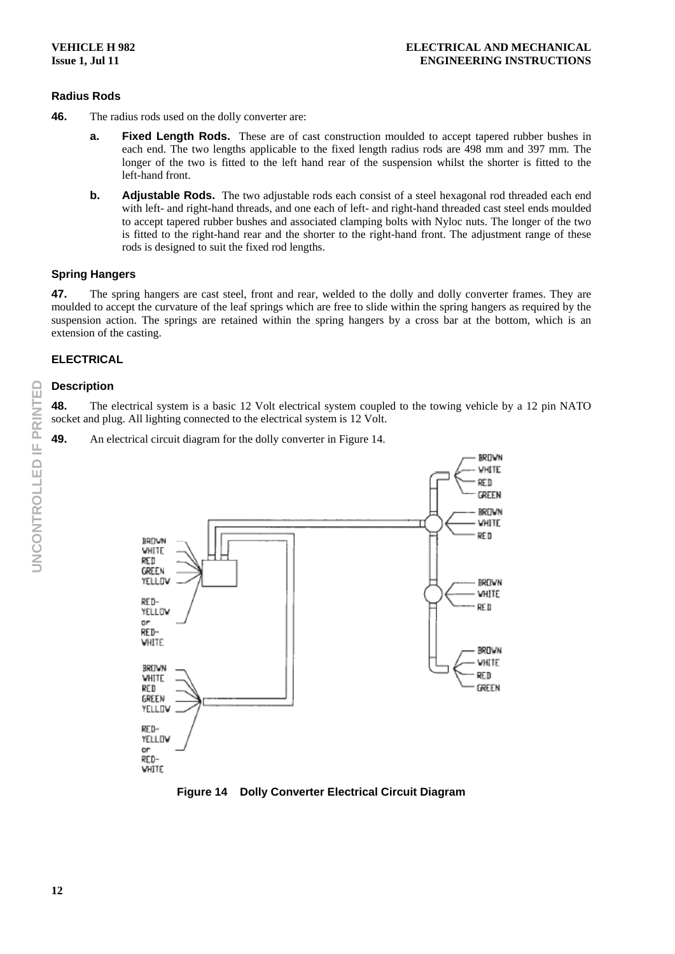# **Radius Rods**

- **46.** The radius rods used on the dolly converter are:
	- **a.** Fixed Length Rods. These are of cast construction moulded to accept tapered rubber bushes in each end. The two lengths applicable to the fixed length radius rods are 498 mm and 397 mm. The longer of the two is fitted to the left hand rear of the suspension whilst the shorter is fitted to the left-hand front.
	- **b.** Adjustable Rods. The two adjustable rods each consist of a steel hexagonal rod threaded each end with left- and right-hand threads, and one each of left- and right-hand threaded cast steel ends moulded to accept tapered rubber bushes and associated clamping bolts with Nyloc nuts. The longer of the two is fitted to the right-hand rear and the shorter to the right-hand front. The adjustment range of these rods is designed to suit the fixed rod lengths.

# **Spring Hangers**

**47.** The spring hangers are cast steel, front and rear, welded to the dolly and dolly converter frames. They are moulded to accept the curvature of the leaf springs which are free to slide within the spring hangers as required by the suspension action. The springs are retained within the spring hangers by a cross bar at the bottom, which is an extension of the casting.

# **ELECTRICAL**

# **Description**

**48.** The electrical system is a basic 12 Volt electrical system coupled to the towing vehicle by a 12 pin NATO socket and plug. All lighting connected to the electrical system is 12 Volt.

**49.** An electrical circuit diagram for the dolly converter in Figure 14.



**Figure 14 Dolly Converter Electrical Circuit Diagram**